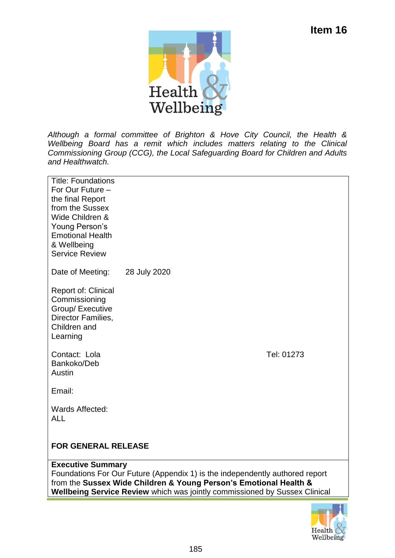

*Although a formal committee of Brighton & Hove City Council, the Health & Wellbeing Board has a remit which includes matters relating to the Clinical Commissioning Group (CCG), the Local Safeguarding Board for Children and Adults and Healthwatch.*

| <b>Title: Foundations</b><br>For Our Future -<br>the final Report<br>from the Sussex<br>Wide Children &<br>Young Person's<br><b>Emotional Health</b><br>& Wellbeing<br><b>Service Review</b>                                                                |              |  |
|-------------------------------------------------------------------------------------------------------------------------------------------------------------------------------------------------------------------------------------------------------------|--------------|--|
| Date of Meeting:                                                                                                                                                                                                                                            | 28 July 2020 |  |
| <b>Report of: Clinical</b><br>Commissioning<br>Group/ Executive<br>Director Families,<br>Children and<br>Learning                                                                                                                                           |              |  |
| Contact: Lola<br>Bankoko/Deb<br>Austin                                                                                                                                                                                                                      | Tel: 01273   |  |
| Email:                                                                                                                                                                                                                                                      |              |  |
| Wards Affected:<br><b>ALL</b>                                                                                                                                                                                                                               |              |  |
| <b>FOR GENERAL RELEASE</b>                                                                                                                                                                                                                                  |              |  |
| <b>Executive Summary</b><br>Foundations For Our Future (Appendix 1) is the independently authored report<br>from the Sussex Wide Children & Young Person's Emotional Health &<br>Wellbeing Service Review which was jointly commissioned by Sussex Clinical |              |  |

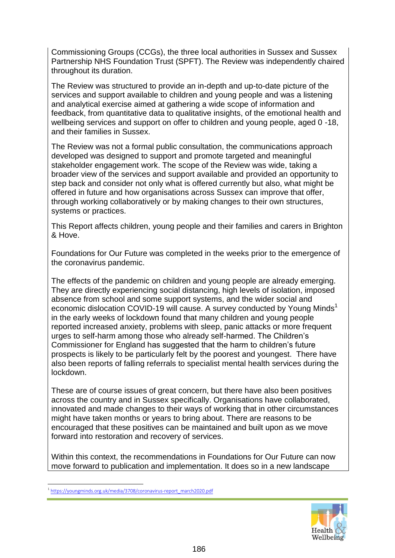Commissioning Groups (CCGs), the three local authorities in Sussex and Sussex Partnership NHS Foundation Trust (SPFT). The Review was independently chaired throughout its duration.

The Review was structured to provide an in-depth and up-to-date picture of the services and support available to children and young people and was a listening and analytical exercise aimed at gathering a wide scope of information and feedback, from quantitative data to qualitative insights, of the emotional health and wellbeing services and support on offer to children and young people, aged 0 -18, and their families in Sussex.

The Review was not a formal public consultation, the communications approach developed was designed to support and promote targeted and meaningful stakeholder engagement work. The scope of the Review was wide, taking a broader view of the services and support available and provided an opportunity to step back and consider not only what is offered currently but also, what might be offered in future and how organisations across Sussex can improve that offer, through working collaboratively or by making changes to their own structures, systems or practices.

This Report affects children, young people and their families and carers in Brighton & Hove.

Foundations for Our Future was completed in the weeks prior to the emergence of the coronavirus pandemic.

The effects of the pandemic on children and young people are already emerging. They are directly experiencing social distancing, high levels of isolation, imposed absence from school and some support systems, and the wider social and economic dislocation COVID-19 will cause. A survey conducted by Young Minds<sup>1</sup> in the early weeks of lockdown found that many children and young people reported increased anxiety, problems with sleep, panic attacks or more frequent urges to self-harm among those who already self-harmed. The Children's Commissioner for England has suggested that the harm to children's future prospects is likely to be particularly felt by the poorest and youngest. There have also been reports of falling referrals to specialist mental health services during the lockdown.

These are of course issues of great concern, but there have also been positives across the country and in Sussex specifically. Organisations have collaborated, innovated and made changes to their ways of working that in other circumstances might have taken months or years to bring about. There are reasons to be encouraged that these positives can be maintained and built upon as we move forward into restoration and recovery of services.

Within this context, the recommendations in Foundations for Our Future can now move forward to publication and implementation. It does so in a new landscape



<sup>1</sup> <sup>1</sup>[https://youngminds.org.uk/media/3708/coronavirus-report\\_march2020.pdf](https://youngminds.org.uk/media/3708/coronavirus-report_march2020.pdf)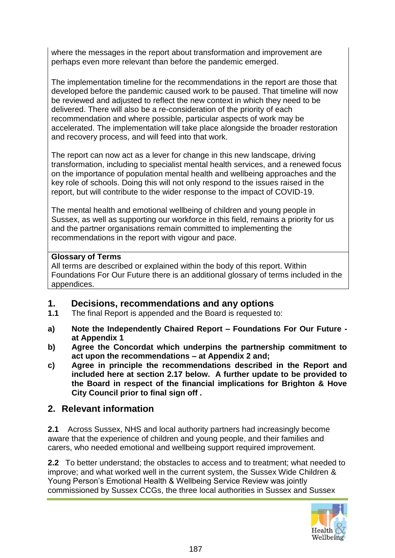where the messages in the report about transformation and improvement are perhaps even more relevant than before the pandemic emerged.

The implementation timeline for the recommendations in the report are those that developed before the pandemic caused work to be paused. That timeline will now be reviewed and adjusted to reflect the new context in which they need to be delivered. There will also be a re-consideration of the priority of each recommendation and where possible, particular aspects of work may be accelerated. The implementation will take place alongside the broader restoration and recovery process, and will feed into that work.

The report can now act as a lever for change in this new landscape, driving transformation, including to specialist mental health services, and a renewed focus on the importance of population mental health and wellbeing approaches and the key role of schools. Doing this will not only respond to the issues raised in the report, but will contribute to the wider response to the impact of COVID-19.

The mental health and emotional wellbeing of children and young people in Sussex, as well as supporting our workforce in this field, remains a priority for us and the partner organisations remain committed to implementing the recommendations in the report with vigour and pace.

#### **Glossary of Terms**

All terms are described or explained within the body of this report. Within Foundations For Our Future there is an additional glossary of terms included in the appendices.

#### **1. Decisions, recommendations and any options**

- **1.1** The final Report is appended and the Board is requested to:
- **a) Note the Independently Chaired Report – Foundations For Our Future at Appendix 1**
- **b) Agree the Concordat which underpins the partnership commitment to act upon the recommendations – at Appendix 2 and;**
- **c) Agree in principle the recommendations described in the Report and included here at section 2.17 below. A further update to be provided to the Board in respect of the financial implications for Brighton & Hove City Council prior to final sign off .**

## **2. Relevant information**

**2.1** Across Sussex, NHS and local authority partners had increasingly become aware that the experience of children and young people, and their families and carers, who needed emotional and wellbeing support required improvement.

**2.2** To better understand; the obstacles to access and to treatment; what needed to improve; and what worked well in the current system, the Sussex Wide Children & Young Person's Emotional Health & Wellbeing Service Review was jointly commissioned by Sussex CCGs, the three local authorities in Sussex and Sussex

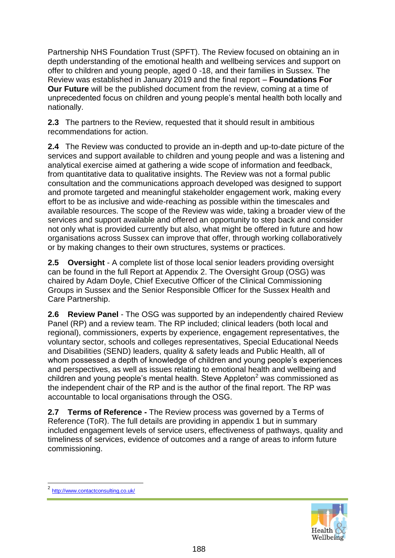Partnership NHS Foundation Trust (SPFT). The Review focused on obtaining an in depth understanding of the emotional health and wellbeing services and support on offer to children and young people, aged 0 -18, and their families in Sussex. The Review was established in January 2019 and the final report – **Foundations For Our Future** will be the published document from the review, coming at a time of unprecedented focus on children and young people's mental health both locally and nationally.

**2.3** The partners to the Review, requested that it should result in ambitious recommendations for action.

**2.4** The Review was conducted to provide an in-depth and up-to-date picture of the services and support available to children and young people and was a listening and analytical exercise aimed at gathering a wide scope of information and feedback, from quantitative data to qualitative insights. The Review was not a formal public consultation and the communications approach developed was designed to support and promote targeted and meaningful stakeholder engagement work, making every effort to be as inclusive and wide-reaching as possible within the timescales and available resources. The scope of the Review was wide, taking a broader view of the services and support available and offered an opportunity to step back and consider not only what is provided currently but also, what might be offered in future and how organisations across Sussex can improve that offer, through working collaboratively or by making changes to their own structures, systems or practices.

**2.5 Oversight** - A complete list of those local senior leaders providing oversight can be found in the full Report at Appendix 2. The Oversight Group (OSG) was chaired by Adam Doyle, Chief Executive Officer of the Clinical Commissioning Groups in Sussex and the Senior Responsible Officer for the Sussex Health and Care Partnership.

**2.6 Review Panel** - The OSG was supported by an independently chaired Review Panel (RP) and a review team. The RP included; clinical leaders (both local and regional), commissioners, experts by experience, engagement representatives, the voluntary sector, schools and colleges representatives, Special Educational Needs and Disabilities (SEND) leaders, quality & safety leads and Public Health, all of whom possessed a depth of knowledge of children and young people's experiences and perspectives, as well as issues relating to emotional health and wellbeing and children and young people's mental health. Steve Appleton $<sup>2</sup>$  was commissioned as</sup> the independent chair of the RP and is the author of the final report. The RP was accountable to local organisations through the OSG.

**2.7 Terms of Reference -** The Review process was governed by a Terms of Reference (ToR). The full details are providing in appendix 1 but in summary included engagement levels of service users, effectiveness of pathways, quality and timeliness of services, evidence of outcomes and a range of areas to inform future commissioning.

1



<sup>2</sup> <http://www.contactconsulting.co.uk/>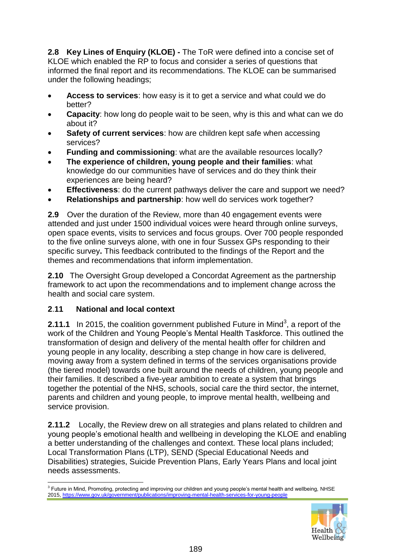**2.8 Key Lines of Enquiry (KLOE) -** The ToR were defined into a concise set of KLOE which enabled the RP to focus and consider a series of questions that informed the final report and its recommendations. The KLOE can be summarised under the following headings;

- **Access to services**: how easy is it to get a service and what could we do better?
- **Capacity**: how long do people wait to be seen, why is this and what can we do about it?
- **Safety of current services**: how are children kept safe when accessing services?
- **Funding and commissioning**: what are the available resources locally?
- **The experience of children, young people and their families**: what knowledge do our communities have of services and do they think their experiences are being heard?
- **Effectiveness**: do the current pathways deliver the care and support we need?
- **Relationships and partnership**: how well do services work together?

**2.9** Over the duration of the Review, more than 40 engagement events were attended and just under 1500 individual voices were heard through online surveys, open space events, visits to services and focus groups. Over 700 people responded to the five online surveys alone, with one in four Sussex GPs responding to their specific survey**.** This feedback contributed to the findings of the Report and the themes and recommendations that inform implementation.

**2.10** The Oversight Group developed a Concordat Agreement as the partnership framework to act upon the recommendations and to implement change across the health and social care system.

#### **2**.**11 National and local context**

**2.11.1** In 2015, the coalition government published Future in Mind<sup>3</sup>, a report of the work of the Children and Young People's Mental Health Taskforce. This outlined the transformation of design and delivery of the mental health offer for children and young people in any locality, describing a step change in how care is delivered, moving away from a system defined in terms of the services organisations provide (the tiered model) towards one built around the needs of children, young people and their families. It described a five-year ambition to create a system that brings together the potential of the NHS, schools, social care the third sector, the internet, parents and children and young people, to improve mental health, wellbeing and service provision.

**2.11.2** Locally, the Review drew on all strategies and plans related to children and young people's emotional health and wellbeing in developing the KLOE and enabling a better understanding of the challenges and context. These local plans included; Local Transformation Plans (LTP), SEND (Special Educational Needs and Disabilities) strategies, Suicide Prevention Plans, Early Years Plans and local joint needs assessments.

<sup>1</sup> <sup>3</sup> Future in Mind, Promoting, protecting and improving our children and young people's mental health and wellbeing, NHSE 2015[, https://www.gov.uk/government/publications/improving-mental-health-services-for-young-people](https://www.gov.uk/government/publications/improving-mental-health-services-for-young-people) 

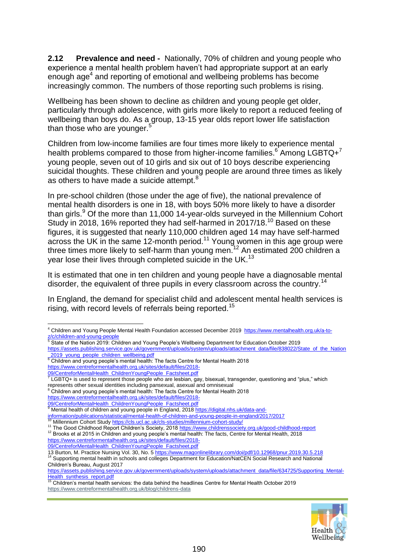**2.12 Prevalence and need -** Nationally, 70% of children and young people who experience a mental health problem haven't had appropriate support at an early enough age<sup>4</sup> and reporting of emotional and wellbeing problems has become increasingly common. The numbers of those reporting such problems is rising.

Wellbeing has been shown to decline as children and young people get older, particularly through adolescence, with girls more likely to report a reduced feeling of wellbeing than boys do. As a group, 13-15 year olds report lower life satisfaction than those who are younger.<sup>5</sup>

Children from low-income families are four times more likely to experience mental health problems compared to those from higher-income families.<sup>6</sup> Among LGBTQ+<sup>7</sup> young people, seven out of 10 girls and six out of 10 boys describe experiencing suicidal thoughts. These children and young people are around three times as likely as others to have made a suicide attempt.<sup>8</sup>

In pre-school children (those under the age of five), the national prevalence of mental health disorders is one in 18, with boys 50% more likely to have a disorder than girls. $9$  Of the more than 11,000 14-year-olds surveyed in the Millennium Cohort Study in 2018, 16% reported they had self-harmed in 2017/18.<sup>10</sup> Based on these figures, it is suggested that nearly 110,000 children aged 14 may have self-harmed across the UK in the same 12-month period.<sup>11</sup> Young women in this age group were three times more likely to self-harm than young men.<sup>12</sup> An estimated 200 children a year lose their lives through completed suicide in the UK.<sup>13</sup>

It is estimated that one in ten children and young people have a diagnosable mental disorder, the equivalent of three pupils in every classroom across the country.<sup>14</sup>

In England, the demand for specialist child and adolescent mental health services is rising, with record levels of referrals being reported.<sup>15</sup>

11 The Good Childhood Report Children's Society, 201[8 https://www.childrenssociety.org.uk/good-childhood-report](https://www.childrenssociety.org.uk/good-childhood-report)

<sup>12</sup> Brooks et al 2015 in Children and young people's mental health: The facts, Centre for Mental Health, 2018 [https://www.centreformentalhealth.org.uk/sites/default/files/2018-](https://www.centreformentalhealth.org.uk/sites/default/files/2018-09/CentreforMentalHealth_ChildrenYoungPeople_Factsheet.pdf)

[09/CentreforMentalHealth\\_ChildrenYoungPeople\\_Factsheet.pdf](https://www.centreformentalhealth.org.uk/sites/default/files/2018-09/CentreforMentalHealth_ChildrenYoungPeople_Factsheet.pdf)

13 Burton, M[. Practice Nursing](https://www.magonlinelibrary.com/journal/pnur) [Vol. 30, No. 5](https://www.magonlinelibrary.com/toc/pnur/30/5) <https://www.magonlinelibrary.com/doi/pdf/10.12968/pnur.2019.30.5.218> <sup>14</sup> Supporting mental health in schools and colleges Department for Education/NatCEN Social Research and National Children's Bureau, August 2017

[Health\\_synthesis\\_report.pdf](https://assets.publishing.service.gov.uk/government/uploads/system/uploads/attachment_data/file/634725/Supporting_Mental-Health_synthesis_report.pdf)<br><sup>15</sup> Children's mental health services: the data behind the headlines Centre for Mental Health October 2019 <https://www.centreformentalhealth.org.uk/blog/childrens-data>



<sup>1</sup> <sup>4</sup> Children and Young People Mental Health Foundation accessed December 2019 [https://www.mentalhealth.org.uk/a-to](https://www.mentalhealth.org.uk/a-to-z/c/children-and-young-people)[z/c/children-and-young-people](https://www.mentalhealth.org.uk/a-to-z/c/children-and-young-people)<br><sup>5</sup> State of the Nation 2019: Children and Young People's Wellbeing Department for Education October 2019

[https://assets.publishing.service.gov.uk/government/uploads/system/uploads/attachment\\_data/file/838022/State\\_of\\_the\\_Nation](https://assets.publishing.service.gov.uk/government/uploads/system/uploads/attachment_data/file/838022/State_of_the_Nation_2019_young_people_children_wellbeing.pdf) **[\\_2019\\_young\\_people\\_children\\_wellbeing.pdf](https://assets.publishing.service.gov.uk/government/uploads/system/uploads/attachment_data/file/838022/State_of_the_Nation_2019_young_people_children_wellbeing.pdf)**<br><sup>6</sup> Children and young people's mental health: The facts Centre for Mental Health 2018

[https://www.centreformentalhealth.org.uk/sites/default/files/2018-](https://www.centreformentalhealth.org.uk/sites/default/files/2018-09/CentreforMentalHealth_ChildrenYoungPeople_Factsheet.pdf)

<sup>&</sup>lt;u>[09/CentreforMentalHealth\\_ChildrenYoungPeople\\_Factsheet.pdf](https://www.centreformentalhealth.org.uk/sites/default/files/2018-09/CentreforMentalHealth_ChildrenYoungPeople_Factsheet.pdf)</u><br><sup>7</sup> LGBTQ+ is used to represent those people who are lesbian, gay, bisexual, transgender, questioning and "plus," which represents other sexual identities including pansexual, asexual and omnisexual

<sup>8</sup> Children and young people's mental health: The facts Centre for Mental Health 2018

[https://www.centreformentalhealth.org.uk/sites/default/files/2018-](https://www.centreformentalhealth.org.uk/sites/default/files/2018-09/CentreforMentalHealth_ChildrenYoungPeople_Factsheet.pdf)

<sup>&</sup>lt;u>[09/CentreforMentalHealth\\_ChildrenYoungPeople\\_Factsheet.pdf](https://www.centreformentalhealth.org.uk/sites/default/files/2018-09/CentreforMentalHealth_ChildrenYoungPeople_Factsheet.pdf)</u><br><sup>9</sup> Mental health of children and young people in England, 2018 <u>https://digital.nhs.uk/data-and</u>-

[information/publications/statistical/mental-health-of-children-and-young-people-in-england/2017/2017](https://digital.nhs.uk/data-and-information/publications/statistical/mental-health-of-children-and-young-people-in-england/2017/2017)

Millennium Cohort Study<https://cls.ucl.ac.uk/cls-studies/millennium-cohort-study/>

[https://assets.publishing.service.gov.uk/government/uploads/system/uploads/attachment\\_data/file/634725/Supporting\\_Mental-](https://assets.publishing.service.gov.uk/government/uploads/system/uploads/attachment_data/file/634725/Supporting_Mental-Health_synthesis_report.pdf)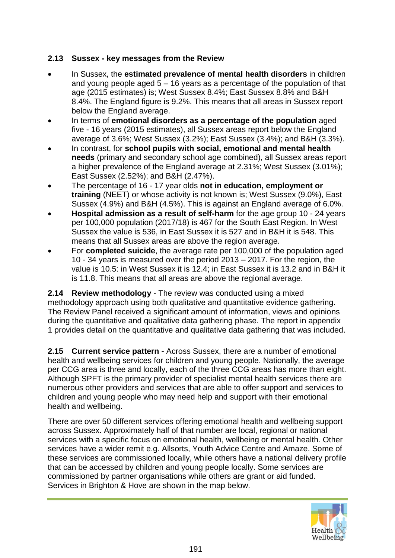#### **2.13 Sussex - key messages from the Review**

- In Sussex, the **estimated prevalence of mental health disorders** in children and young people aged 5 – 16 years as a percentage of the population of that age (2015 estimates) is; West Sussex 8.4%; East Sussex 8.8% and B&H 8.4%. The England figure is 9.2%. This means that all areas in Sussex report below the England average.
- In terms of **emotional disorders as a percentage of the population** aged five - 16 years (2015 estimates), all Sussex areas report below the England average of 3.6%; West Sussex (3.2%); East Sussex (3.4%); and B&H (3.3%).
- In contrast, for **school pupils with social, emotional and mental health needs** (primary and secondary school age combined), all Sussex areas report a higher prevalence of the England average at 2.31%; West Sussex (3.01%); East Sussex (2.52%); and B&H (2.47%).
- The percentage of 16 17 year olds **not in education, employment or training** (NEET) or whose activity is not known is; West Sussex (9.0%), East Sussex (4.9%) and B&H (4.5%). This is against an England average of 6.0%.
- **Hospital admission as a result of self-harm** for the age group 10 24 years per 100,000 population (2017/18) is 467 for the South East Region. In West Sussex the value is 536, in East Sussex it is 527 and in B&H it is 548. This means that all Sussex areas are above the region average.
- For **completed suicide**, the average rate per 100,000 of the population aged 10 - 34 years is measured over the period 2013 – 2017. For the region, the value is 10.5: in West Sussex it is 12.4; in East Sussex it is 13.2 and in B&H it is 11.8. This means that all areas are above the regional average.

**2.14 Review methodology** - The review was conducted using a mixed methodology approach using both qualitative and quantitative evidence gathering. The Review Panel received a significant amount of information, views and opinions during the quantitative and qualitative data gathering phase. The report in appendix 1 provides detail on the quantitative and qualitative data gathering that was included.

**2.15 Current service pattern -** Across Sussex, there are a number of emotional health and wellbeing services for children and young people. Nationally, the average per CCG area is three and locally, each of the three CCG areas has more than eight. Although SPFT is the primary provider of specialist mental health services there are numerous other providers and services that are able to offer support and services to children and young people who may need help and support with their emotional health and wellbeing.

There are over 50 different services offering emotional health and wellbeing support across Sussex. Approximately half of that number are local, regional or national services with a specific focus on emotional health, wellbeing or mental health. Other services have a wider remit e.g. Allsorts, Youth Advice Centre and Amaze. Some of these services are commissioned locally, while others have a national delivery profile that can be accessed by children and young people locally. Some services are commissioned by partner organisations while others are grant or aid funded. Services in Brighton & Hove are shown in the map below.

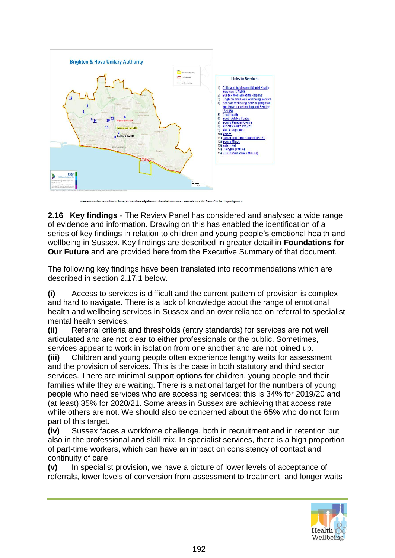

**2.16 Key findings** - The Review Panel has considered and analysed a wide range of evidence and information. Drawing on this has enabled the identification of a series of key findings in relation to children and young people's emotional health and wellbeing in Sussex. Key findings are described in greater detail in **Foundations for Our Future** and are provided here from the Executive Summary of that document.

The following key findings have been translated into recommendations which are described in section 2.17.1 below.

**(i)** Access to services is difficult and the current pattern of provision is complex and hard to navigate. There is a lack of knowledge about the range of emotional health and wellbeing services in Sussex and an over reliance on referral to specialist mental health services.

**(ii)** Referral criteria and thresholds (entry standards) for services are not well articulated and are not clear to either professionals or the public. Sometimes, services appear to work in isolation from one another and are not joined up.

**(iii)** Children and young people often experience lengthy waits for assessment and the provision of services. This is the case in both statutory and third sector services. There are minimal support options for children, young people and their families while they are waiting. There is a national target for the numbers of young people who need services who are accessing services; this is 34% for 2019/20 and (at least) 35% for 2020/21. Some areas in Sussex are achieving that access rate while others are not. We should also be concerned about the 65% who do not form part of this target.

**(iv)** Sussex faces a workforce challenge, both in recruitment and in retention but also in the professional and skill mix. In specialist services, there is a high proportion of part-time workers, which can have an impact on consistency of contact and continuity of care.

**(v)** In specialist provision, we have a picture of lower levels of acceptance of referrals, lower levels of conversion from assessment to treatment, and longer waits

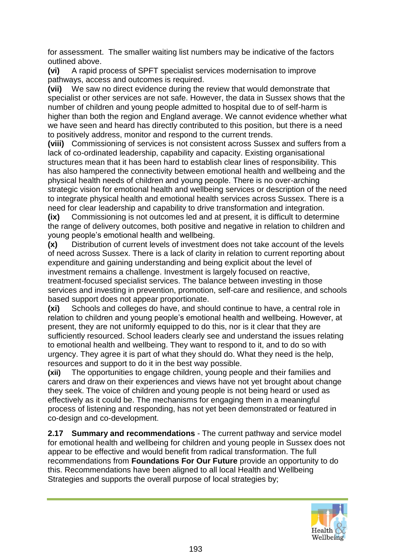for assessment. The smaller waiting list numbers may be indicative of the factors outlined above.

**(vi)** A rapid process of SPFT specialist services modernisation to improve pathways, access and outcomes is required.

**(vii)** We saw no direct evidence during the review that would demonstrate that specialist or other services are not safe. However, the data in Sussex shows that the number of children and young people admitted to hospital due to of self-harm is higher than both the region and England average. We cannot evidence whether what we have seen and heard has directly contributed to this position, but there is a need to positively address, monitor and respond to the current trends.

**(viii)** Commissioning of services is not consistent across Sussex and suffers from a lack of co-ordinated leadership, capability and capacity. Existing organisational structures mean that it has been hard to establish clear lines of responsibility. This has also hampered the connectivity between emotional health and wellbeing and the physical health needs of children and young people. There is no over-arching strategic vision for emotional health and wellbeing services or description of the need to integrate physical health and emotional health services across Sussex. There is a need for clear leadership and capability to drive transformation and integration.

**(ix)** Commissioning is not outcomes led and at present, it is difficult to determine the range of delivery outcomes, both positive and negative in relation to children and young people's emotional health and wellbeing.

**(x)** Distribution of current levels of investment does not take account of the levels of need across Sussex. There is a lack of clarity in relation to current reporting about expenditure and gaining understanding and being explicit about the level of investment remains a challenge. Investment is largely focused on reactive, treatment-focused specialist services. The balance between investing in those services and investing in prevention, promotion, self-care and resilience, and schools based support does not appear proportionate.

**(xi)** Schools and colleges do have, and should continue to have, a central role in relation to children and young people's emotional health and wellbeing. However, at present, they are not uniformly equipped to do this, nor is it clear that they are sufficiently resourced. School leaders clearly see and understand the issues relating to emotional health and wellbeing. They want to respond to it, and to do so with urgency. They agree it is part of what they should do. What they need is the help, resources and support to do it in the best way possible.

**(xii)** The opportunities to engage children, young people and their families and carers and draw on their experiences and views have not yet brought about change they seek. The voice of children and young people is not being heard or used as effectively as it could be. The mechanisms for engaging them in a meaningful process of listening and responding, has not yet been demonstrated or featured in co-design and co-development.

**2.17 Summary and recommendations** - The current pathway and service model for emotional health and wellbeing for children and young people in Sussex does not appear to be effective and would benefit from radical transformation. The full recommendations from **Foundations For Our Future** provide an opportunity to do this. Recommendations have been aligned to all local Health and Wellbeing Strategies and supports the overall purpose of local strategies by;

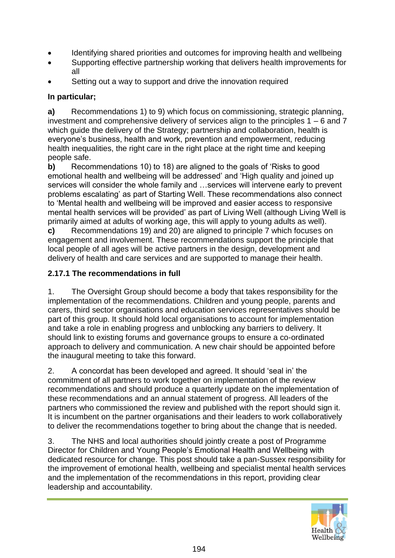- Identifying shared priorities and outcomes for improving health and wellbeing
- Supporting effective partnership working that delivers health improvements for all
- Setting out a way to support and drive the innovation required

### **In particular;**

**a)** Recommendations 1) to 9) which focus on commissioning, strategic planning, investment and comprehensive delivery of services align to the principles 1 – 6 and 7 which guide the delivery of the Strategy; partnership and collaboration, health is everyone's business, health and work, prevention and empowerment, reducing health inequalities, the right care in the right place at the right time and keeping people safe.

**b)** Recommendations 10) to 18) are aligned to the goals of 'Risks to good emotional health and wellbeing will be addressed' and 'High quality and joined up services will consider the whole family and …services will intervene early to prevent problems escalating' as part of Starting Well. These recommendations also connect to 'Mental health and wellbeing will be improved and easier access to responsive mental health services will be provided' as part of Living Well (although Living Well is primarily aimed at adults of working age, this will apply to young adults as well).

**c)** Recommendations 19) and 20) are aligned to principle 7 which focuses on engagement and involvement. These recommendations support the principle that local people of all ages will be active partners in the design, development and delivery of health and care services and are supported to manage their health.

### **2.17.1 The recommendations in full**

1. The Oversight Group should become a body that takes responsibility for the implementation of the recommendations. Children and young people, parents and carers, third sector organisations and education services representatives should be part of this group. It should hold local organisations to account for implementation and take a role in enabling progress and unblocking any barriers to delivery. It should link to existing forums and governance groups to ensure a co-ordinated approach to delivery and communication. A new chair should be appointed before the inaugural meeting to take this forward.

2. A concordat has been developed and agreed. It should 'seal in' the commitment of all partners to work together on implementation of the review recommendations and should produce a quarterly update on the implementation of these recommendations and an annual statement of progress. All leaders of the partners who commissioned the review and published with the report should sign it. It is incumbent on the partner organisations and their leaders to work collaboratively to deliver the recommendations together to bring about the change that is needed.

3. The NHS and local authorities should jointly create a post of Programme Director for Children and Young People's Emotional Health and Wellbeing with dedicated resource for change. This post should take a pan-Sussex responsibility for the improvement of emotional health, wellbeing and specialist mental health services and the implementation of the recommendations in this report, providing clear leadership and accountability.

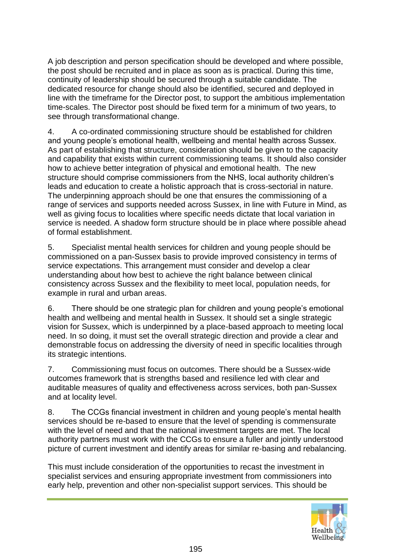A job description and person specification should be developed and where possible, the post should be recruited and in place as soon as is practical. During this time, continuity of leadership should be secured through a suitable candidate. The dedicated resource for change should also be identified, secured and deployed in line with the timeframe for the Director post, to support the ambitious implementation time-scales. The Director post should be fixed term for a minimum of two years, to see through transformational change.

4. A co-ordinated commissioning structure should be established for children and young people's emotional health, wellbeing and mental health across Sussex. As part of establishing that structure, consideration should be given to the capacity and capability that exists within current commissioning teams. It should also consider how to achieve better integration of physical and emotional health. The new structure should comprise commissioners from the NHS, local authority children's leads and education to create a holistic approach that is cross-sectorial in nature. The underpinning approach should be one that ensures the commissioning of a range of services and supports needed across Sussex, in line with Future in Mind, as well as giving focus to localities where specific needs dictate that local variation in service is needed. A shadow form structure should be in place where possible ahead of formal establishment.

5. Specialist mental health services for children and young people should be commissioned on a pan-Sussex basis to provide improved consistency in terms of service expectations. This arrangement must consider and develop a clear understanding about how best to achieve the right balance between clinical consistency across Sussex and the flexibility to meet local, population needs, for example in rural and urban areas.

6. There should be one strategic plan for children and young people's emotional health and wellbeing and mental health in Sussex. It should set a single strategic vision for Sussex, which is underpinned by a place-based approach to meeting local need. In so doing, it must set the overall strategic direction and provide a clear and demonstrable focus on addressing the diversity of need in specific localities through its strategic intentions.

7. Commissioning must focus on outcomes. There should be a Sussex-wide outcomes framework that is strengths based and resilience led with clear and auditable measures of quality and effectiveness across services, both pan-Sussex and at locality level.

8. The CCGs financial investment in children and young people's mental health services should be re-based to ensure that the level of spending is commensurate with the level of need and that the national investment targets are met. The local authority partners must work with the CCGs to ensure a fuller and jointly understood picture of current investment and identify areas for similar re-basing and rebalancing.

This must include consideration of the opportunities to recast the investment in specialist services and ensuring appropriate investment from commissioners into early help, prevention and other non-specialist support services. This should be

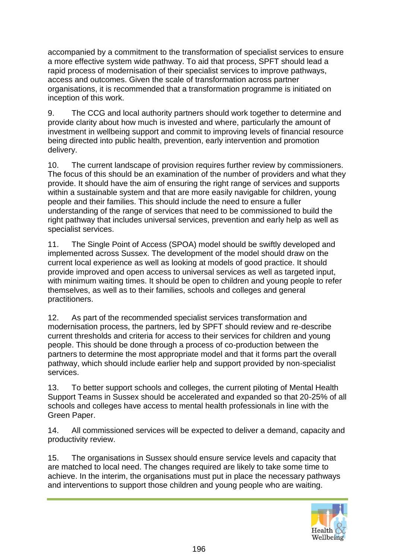accompanied by a commitment to the transformation of specialist services to ensure a more effective system wide pathway. To aid that process, SPFT should lead a rapid process of modernisation of their specialist services to improve pathways, access and outcomes. Given the scale of transformation across partner organisations, it is recommended that a transformation programme is initiated on inception of this work.

9. The CCG and local authority partners should work together to determine and provide clarity about how much is invested and where, particularly the amount of investment in wellbeing support and commit to improving levels of financial resource being directed into public health, prevention, early intervention and promotion delivery.

10. The current landscape of provision requires further review by commissioners. The focus of this should be an examination of the number of providers and what they provide. It should have the aim of ensuring the right range of services and supports within a sustainable system and that are more easily navigable for children, young people and their families. This should include the need to ensure a fuller understanding of the range of services that need to be commissioned to build the right pathway that includes universal services, prevention and early help as well as specialist services.

11. The Single Point of Access (SPOA) model should be swiftly developed and implemented across Sussex. The development of the model should draw on the current local experience as well as looking at models of good practice. It should provide improved and open access to universal services as well as targeted input, with minimum waiting times. It should be open to children and young people to refer themselves, as well as to their families, schools and colleges and general practitioners.

12. As part of the recommended specialist services transformation and modernisation process, the partners, led by SPFT should review and re-describe current thresholds and criteria for access to their services for children and young people. This should be done through a process of co-production between the partners to determine the most appropriate model and that it forms part the overall pathway, which should include earlier help and support provided by non-specialist services.

13. To better support schools and colleges, the current piloting of Mental Health Support Teams in Sussex should be accelerated and expanded so that 20-25% of all schools and colleges have access to mental health professionals in line with the Green Paper.

14. All commissioned services will be expected to deliver a demand, capacity and productivity review.

15. The organisations in Sussex should ensure service levels and capacity that are matched to local need. The changes required are likely to take some time to achieve. In the interim, the organisations must put in place the necessary pathways and interventions to support those children and young people who are waiting.

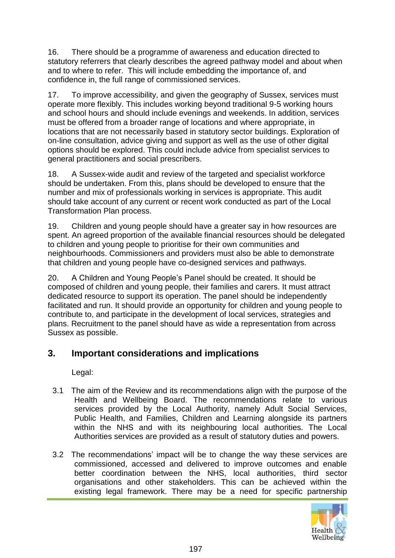16. There should be a programme of awareness and education directed to statutory referrers that clearly describes the agreed pathway model and about when and to where to refer. This will include embedding the importance of, and confidence in, the full range of commissioned services.

17. To improve accessibility, and given the geography of Sussex, services must operate more flexibly. This includes working beyond traditional 9-5 working hours and school hours and should include evenings and weekends. In addition, services must be offered from a broader range of locations and where appropriate, in locations that are not necessarily based in statutory sector buildings. Exploration of on-line consultation, advice giving and support as well as the use of other digital options should be explored. This could include advice from specialist services to general practitioners and social prescribers.

18. A Sussex-wide audit and review of the targeted and specialist workforce should be undertaken. From this, plans should be developed to ensure that the number and mix of professionals working in services is appropriate. This audit should take account of any current or recent work conducted as part of the Local Transformation Plan process.

19. Children and young people should have a greater say in how resources are spent. An agreed proportion of the available financial resources should be delegated to children and young people to prioritise for their own communities and neighbourhoods. Commissioners and providers must also be able to demonstrate that children and young people have co-designed services and pathways.

20. A Children and Young People's Panel should be created. It should be composed of children and young people, their families and carers. It must attract dedicated resource to support its operation. The panel should be independently facilitated and run. It should provide an opportunity for children and young people to contribute to, and participate in the development of local services, strategies and plans. Recruitment to the panel should have as wide a representation from across Sussex as possible.

## **3. Important considerations and implications**

Legal:

- 3.1 The aim of the Review and its recommendations align with the purpose of the Health and Wellbeing Board. The recommendations relate to various services provided by the Local Authority, namely Adult Social Services, Public Health, and Families, Children and Learning alongside its partners within the NHS and with its neighbouring local authorities. The Local Authorities services are provided as a result of statutory duties and powers.
- 3.2 The recommendations' impact will be to change the way these services are commissioned, accessed and delivered to improve outcomes and enable better coordination between the NHS, local authorities, third sector organisations and other stakeholders. This can be achieved within the existing legal framework. There may be a need for specific partnership

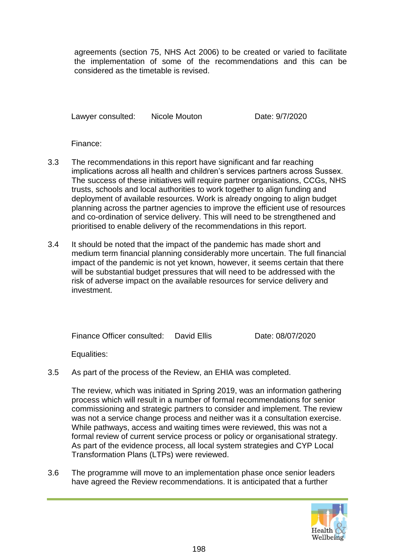agreements (section 75, NHS Act 2006) to be created or varied to facilitate the implementation of some of the recommendations and this can be considered as the timetable is revised.

Lawyer consulted: Nicole Mouton Date: 9/7/2020

Finance:

- 3.3 The recommendations in this report have significant and far reaching implications across all health and children's services partners across Sussex. The success of these initiatives will require partner organisations, CCGs, NHS trusts, schools and local authorities to work together to align funding and deployment of available resources. Work is already ongoing to align budget planning across the partner agencies to improve the efficient use of resources and co-ordination of service delivery. This will need to be strengthened and prioritised to enable delivery of the recommendations in this report.
- 3.4 It should be noted that the impact of the pandemic has made short and medium term financial planning considerably more uncertain. The full financial impact of the pandemic is not yet known, however, it seems certain that there will be substantial budget pressures that will need to be addressed with the risk of adverse impact on the available resources for service delivery and investment.

Finance Officer consulted: David Ellis Date: 08/07/2020

Equalities:

3.5 As part of the process of the Review, an EHIA was completed.

The review, which was initiated in Spring 2019, was an information gathering process which will result in a number of formal recommendations for senior commissioning and strategic partners to consider and implement. The review was not a service change process and neither was it a consultation exercise. While pathways, access and waiting times were reviewed, this was not a formal review of current service process or policy or organisational strategy. As part of the evidence process, all local system strategies and CYP Local Transformation Plans (LTPs) were reviewed.

3.6 The programme will move to an implementation phase once senior leaders have agreed the Review recommendations. It is anticipated that a further

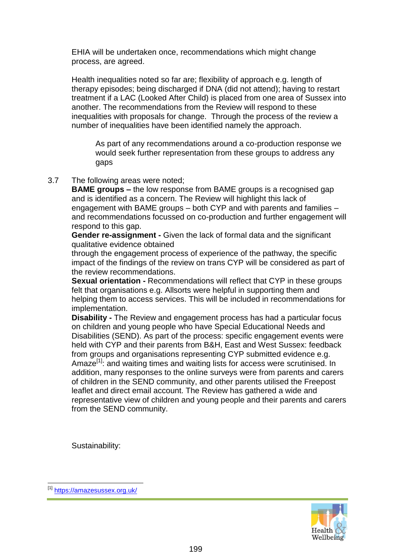EHIA will be undertaken once, recommendations which might change process, are agreed.

Health inequalities noted so far are; flexibility of approach e.g. length of therapy episodes; being discharged if DNA (did not attend); having to restart treatment if a LAC (Looked After Child) is placed from one area of Sussex into another. The recommendations from the Review will respond to these inequalities with proposals for change. Through the process of the review a number of inequalities have been identified namely the approach.

As part of any recommendations around a co-production response we would seek further representation from these groups to address any gaps

#### 3.7 The following areas were noted;

**BAME groups –** the low response from BAME groups is a recognised gap and is identified as a concern. The Review will highlight this lack of engagement with BAME groups – both CYP and with parents and families – and recommendations focussed on co-production and further engagement will respond to this gap.

**Gender re-assignment -** Given the lack of formal data and the significant qualitative evidence obtained

through the engagement process of experience of the pathway, the specific impact of the findings of the review on trans CYP will be considered as part of the review recommendations.

**Sexual orientation -** Recommendations will reflect that CYP in these groups felt that organisations e.g. Allsorts were helpful in supporting them and helping them to access services. This will be included in recommendations for implementation.

**Disability -** The Review and engagement process has had a particular focus on children and young people who have Special Educational Needs and Disabilities (SEND). As part of the process: specific engagement events were held with CYP and their parents from B&H, East and West Sussex: feedback from groups and organisations representing CYP submitted evidence e.g. Amaze<sup>[1]</sup>: and waiting times and waiting lists for access were scrutinised. In addition, many responses to the online surveys were from parents and carers of children in the SEND community, and other parents utilised the Freepost leaflet and direct email account. The Review has gathered a wide and representative view of children and young people and their parents and carers from the SEND community.

Sustainability:



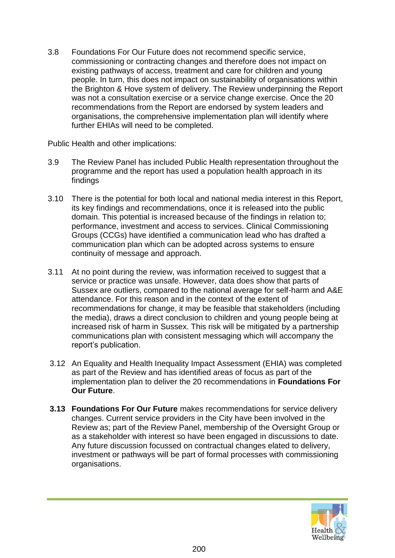3.8 Foundations For Our Future does not recommend specific service, commissioning or contracting changes and therefore does not impact on existing pathways of access, treatment and care for children and young people. In turn, this does not impact on sustainability of organisations within the Brighton & Hove system of delivery. The Review underpinning the Report was not a consultation exercise or a service change exercise. Once the 20 recommendations from the Report are endorsed by system leaders and organisations, the comprehensive implementation plan will identify where further EHIAs will need to be completed.

Public Health and other implications:

- 3.9 The Review Panel has included Public Health representation throughout the programme and the report has used a population health approach in its findings
- 3.10 There is the potential for both local and national media interest in this Report, its key findings and recommendations, once it is released into the public domain. This potential is increased because of the findings in relation to; performance, investment and access to services. Clinical Commissioning Groups (CCGs) have identified a communication lead who has drafted a communication plan which can be adopted across systems to ensure continuity of message and approach.
- 3.11 At no point during the review, was information received to suggest that a service or practice was unsafe. However, data does show that parts of Sussex are outliers, compared to the national average for self-harm and A&E attendance. For this reason and in the context of the extent of recommendations for change, it may be feasible that stakeholders (including the media), draws a direct conclusion to children and young people being at increased risk of harm in Sussex. This risk will be mitigated by a partnership communications plan with consistent messaging which will accompany the report's publication.
- 3.12 An Equality and Health Inequality Impact Assessment (EHIA) was completed as part of the Review and has identified areas of focus as part of the implementation plan to deliver the 20 recommendations in **Foundations For Our Future**.
- **3.13 Foundations For Our Future** makes recommendations for service delivery changes. Current service providers in the City have been involved in the Review as; part of the Review Panel, membership of the Oversight Group or as a stakeholder with interest so have been engaged in discussions to date. Any future discussion focussed on contractual changes elated to delivery, investment or pathways will be part of formal processes with commissioning organisations.